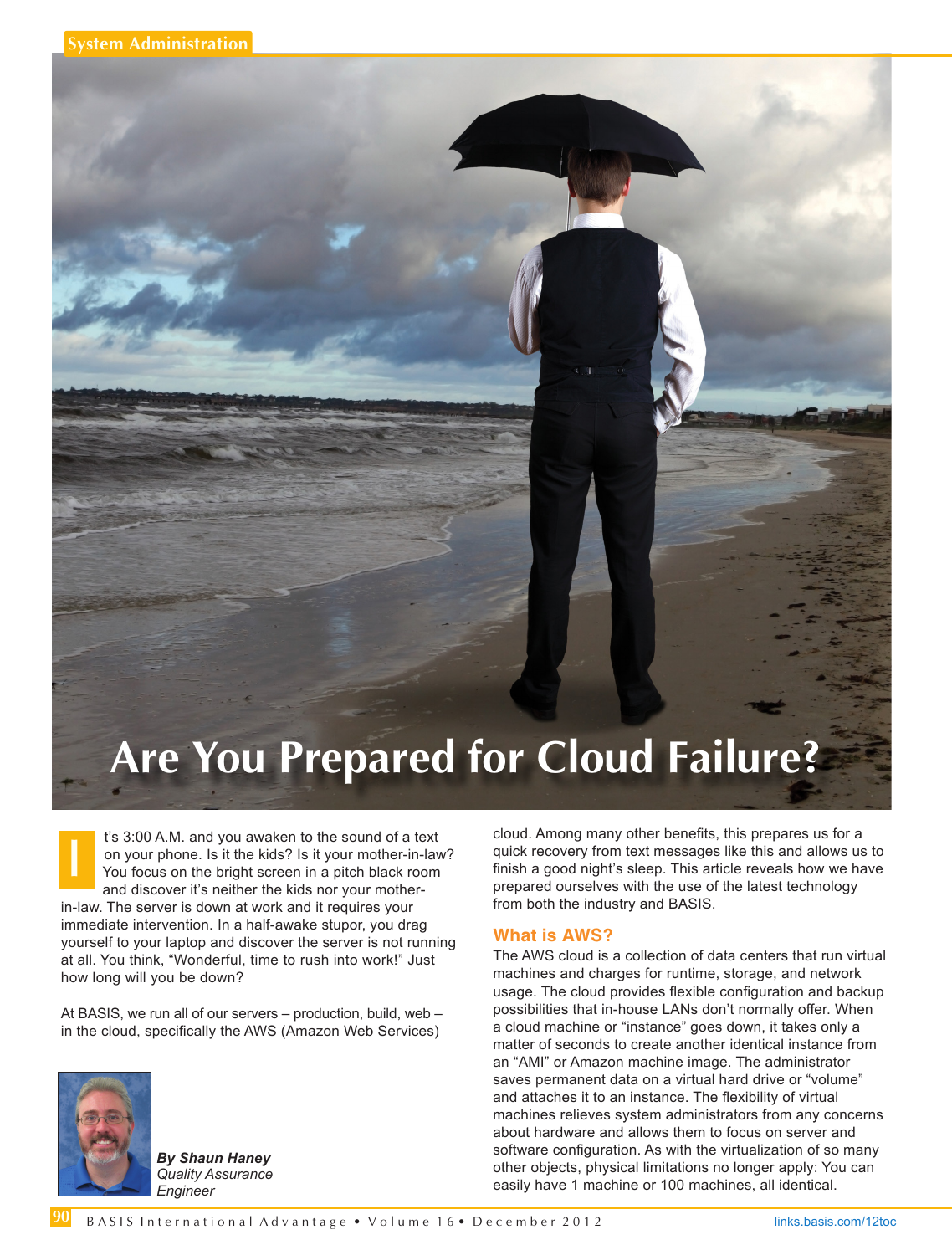# **Are You Prepared for Cloud Failure?**

t's 3:00 A.M. and you awaken to the sound of a text on your phone. Is it the kids? Is it your mother-in-law? You focus on the bright screen in a pitch black room and discover it's neither the kids nor your motherin-law. The server is down at work and it requires your immediate intervention. In a half-awake stupor, you drag yourself to your laptop and discover the server is not running at all. You think, "Wonderful, time to rush into work!" Just how long will you be down? **I**

At BASIS, we run all of our servers – production, build, web – in the cloud, specifically the AWS (Amazon Web Services)



*By Shaun Haney Quality Assurance Engineer*

cloud. Among many other benefits, this prepares us for a quick recovery from text messages like this and allows us to finish a good night's sleep. This article reveals how we have prepared ourselves with the use of the latest technology from both the industry and BASIS.

#### **What is AWS?**

The AWS cloud is a collection of data centers that run virtual machines and charges for runtime, storage, and network usage. The cloud provides flexible configuration and backup possibilities that in-house LANs don't normally offer. When a cloud machine or "instance" goes down, it takes only a matter of seconds to create another identical instance from an "AMI" or Amazon machine image. The administrator saves permanent data on a virtual hard drive or "volume" and attaches it to an instance. The flexibility of virtual machines relieves system administrators from any concerns about hardware and allows them to focus on server and software configuration. As with the virtualization of so many other objects, physical limitations no longer apply: You can easily have 1 machine or 100 machines, all identical.